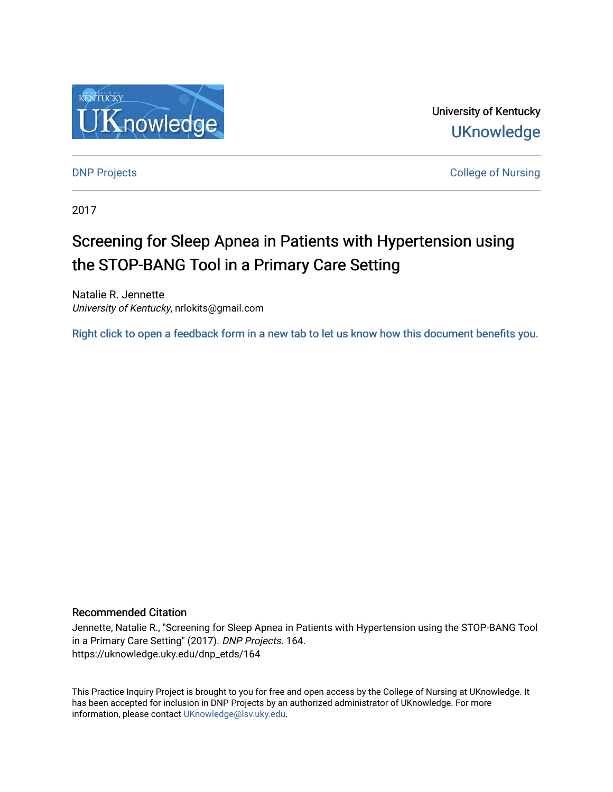

University of Kentucky **UKnowledge** 

**DNP Projects** College of Nursing

2017

# Screening for Sleep Apnea in Patients with Hypertension using the STOP-BANG Tool in a Primary Care Setting

Natalie R. Jennette University of Kentucky, nrlokits@gmail.com

[Right click to open a feedback form in a new tab to let us know how this document benefits you.](https://uky.az1.qualtrics.com/jfe/form/SV_9mq8fx2GnONRfz7)

#### Recommended Citation

Jennette, Natalie R., "Screening for Sleep Apnea in Patients with Hypertension using the STOP-BANG Tool in a Primary Care Setting" (2017). DNP Projects. 164. https://uknowledge.uky.edu/dnp\_etds/164

This Practice Inquiry Project is brought to you for free and open access by the College of Nursing at UKnowledge. It has been accepted for inclusion in DNP Projects by an authorized administrator of UKnowledge. For more information, please contact [UKnowledge@lsv.uky.edu](mailto:UKnowledge@lsv.uky.edu).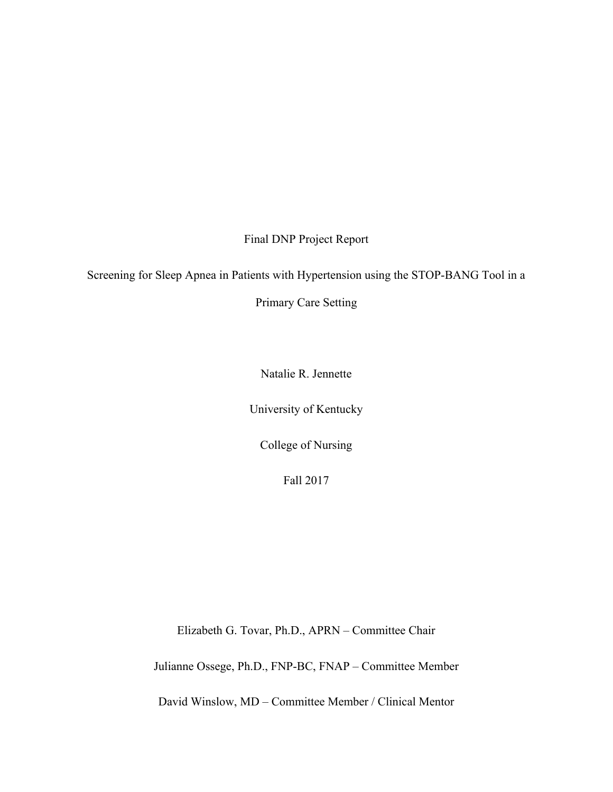Final DNP Project Report

Screening for Sleep Apnea in Patients with Hypertension using the STOP-BANG Tool in a

Primary Care Setting

Natalie R. Jennette

University of Kentucky

College of Nursing

Fall 2017

Elizabeth G. Tovar, Ph.D., APRN – Committee Chair

Julianne Ossege, Ph.D., FNP-BC, FNAP – Committee Member

David Winslow, MD – Committee Member / Clinical Mentor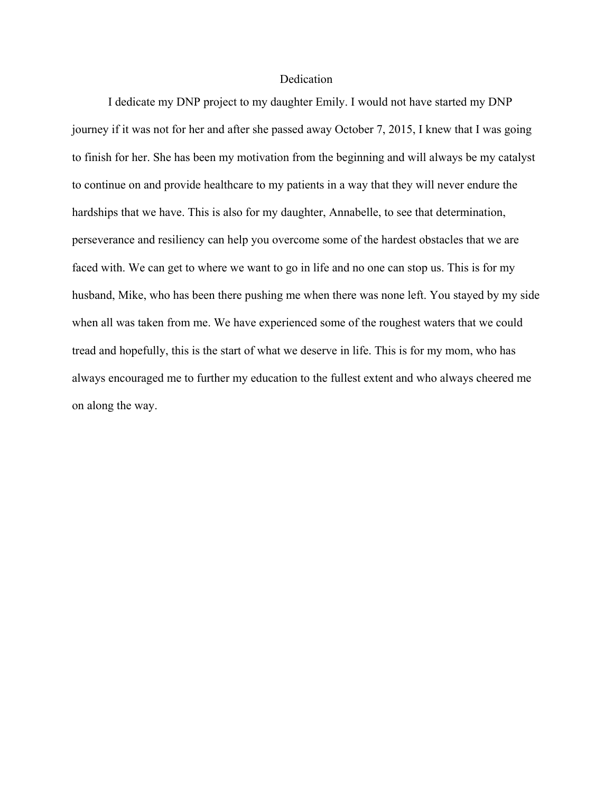# **Dedication**

 I dedicate my DNP project to my daughter Emily. I would not have started my DNP journey if it was not for her and after she passed away October 7, 2015, I knew that I was going to finish for her. She has been my motivation from the beginning and will always be my catalyst to continue on and provide healthcare to my patients in a way that they will never endure the hardships that we have. This is also for my daughter, Annabelle, to see that determination, perseverance and resiliency can help you overcome some of the hardest obstacles that we are faced with. We can get to where we want to go in life and no one can stop us. This is for my husband, Mike, who has been there pushing me when there was none left. You stayed by my side when all was taken from me. We have experienced some of the roughest waters that we could tread and hopefully, this is the start of what we deserve in life. This is for my mom, who has always encouraged me to further my education to the fullest extent and who always cheered me on along the way.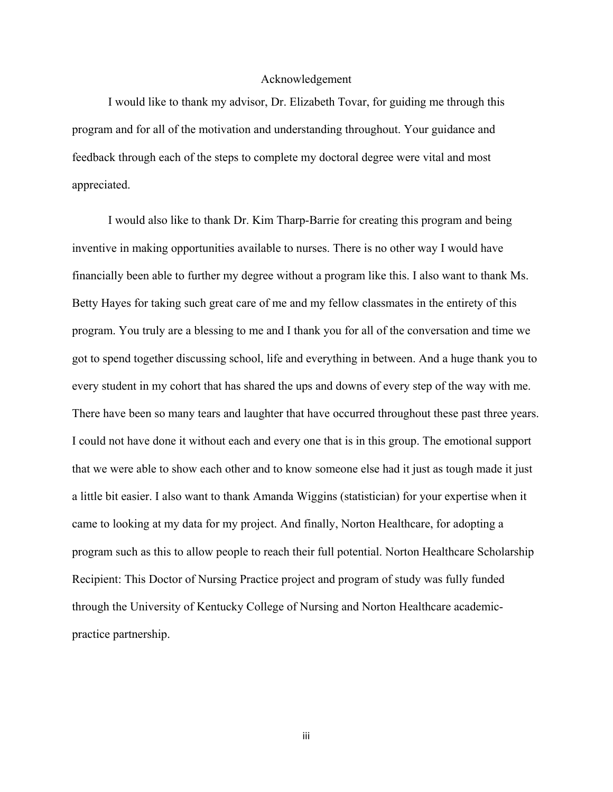#### Acknowledgement

 I would like to thank my advisor, Dr. Elizabeth Tovar, for guiding me through this program and for all of the motivation and understanding throughout. Your guidance and feedback through each of the steps to complete my doctoral degree were vital and most appreciated.

I would also like to thank Dr. Kim Tharp-Barrie for creating this program and being inventive in making opportunities available to nurses. There is no other way I would have financially been able to further my degree without a program like this. I also want to thank Ms. Betty Hayes for taking such great care of me and my fellow classmates in the entirety of this program. You truly are a blessing to me and I thank you for all of the conversation and time we got to spend together discussing school, life and everything in between. And a huge thank you to every student in my cohort that has shared the ups and downs of every step of the way with me. There have been so many tears and laughter that have occurred throughout these past three years. I could not have done it without each and every one that is in this group. The emotional support that we were able to show each other and to know someone else had it just as tough made it just a little bit easier. I also want to thank Amanda Wiggins (statistician) for your expertise when it came to looking at my data for my project. And finally, Norton Healthcare, for adopting a program such as this to allow people to reach their full potential. Norton Healthcare Scholarship Recipient: This Doctor of Nursing Practice project and program of study was fully funded through the University of Kentucky College of Nursing and Norton Healthcare academicpractice partnership.

iii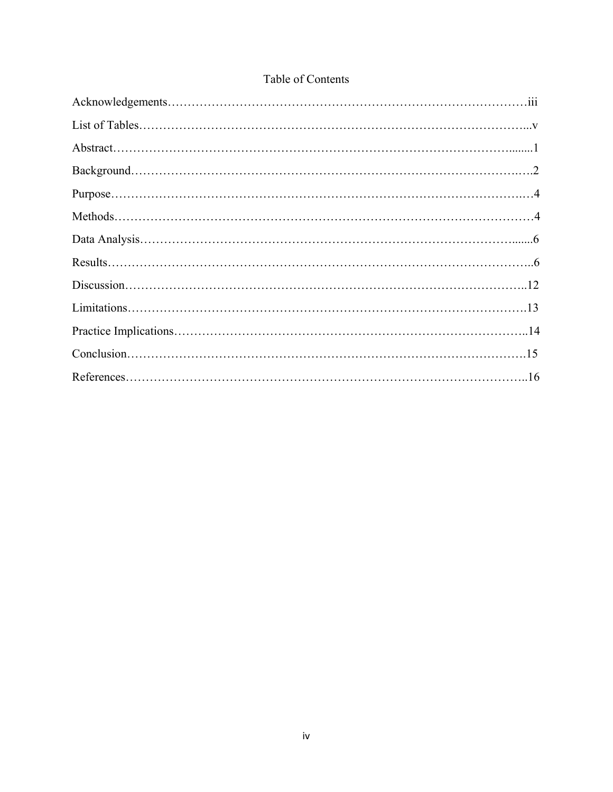# Table of Contents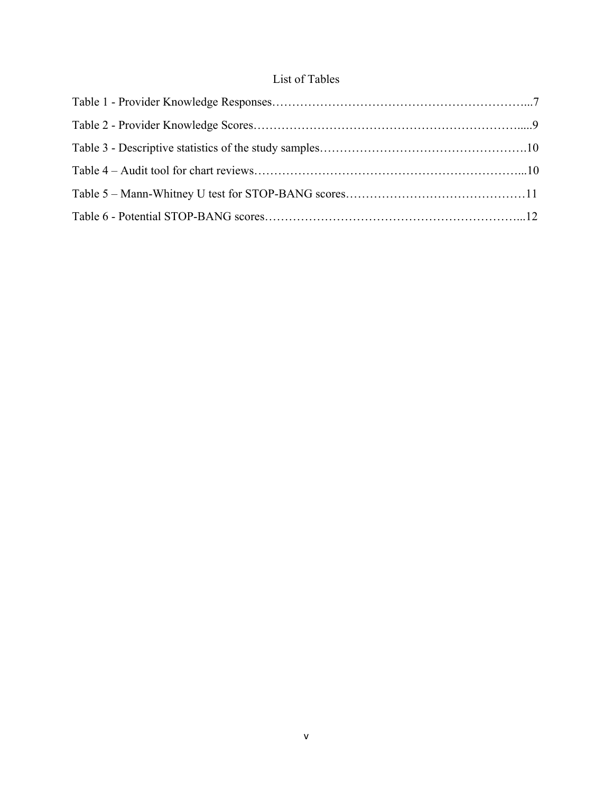# List of Tables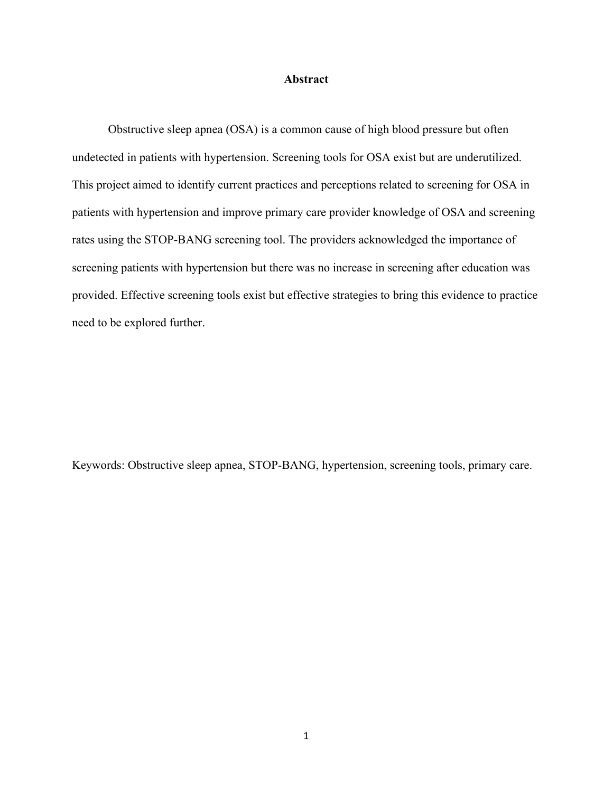#### **Abstract**

Obstructive sleep apnea (OSA) is a common cause of high blood pressure but often undetected in patients with hypertension. Screening tools for OSA exist but are underutilized. This project aimed to identify current practices and perceptions related to screening for OSA in patients with hypertension and improve primary care provider knowledge of OSA and screening rates using the STOP-BANG screening tool. The providers acknowledged the importance of screening patients with hypertension but there was no increase in screening after education was provided. Effective screening tools exist but effective strategies to bring this evidence to practice need to be explored further.

Keywords: Obstructive sleep apnea, STOP-BANG, hypertension, screening tools, primary care.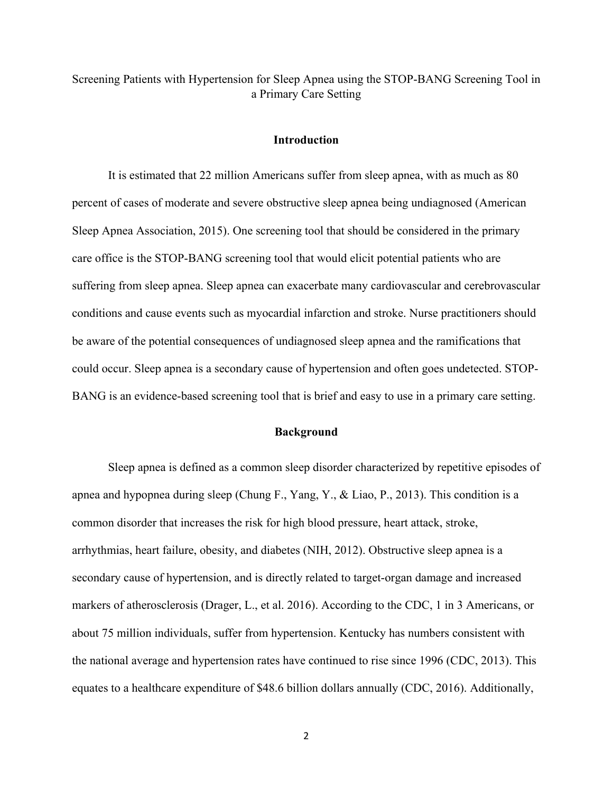Screening Patients with Hypertension for Sleep Apnea using the STOP-BANG Screening Tool in a Primary Care Setting

#### **Introduction**

 It is estimated that 22 million Americans suffer from sleep apnea, with as much as 80 percent of cases of moderate and severe obstructive sleep apnea being undiagnosed (American Sleep Apnea Association, 2015). One screening tool that should be considered in the primary care office is the STOP-BANG screening tool that would elicit potential patients who are suffering from sleep apnea. Sleep apnea can exacerbate many cardiovascular and cerebrovascular conditions and cause events such as myocardial infarction and stroke. Nurse practitioners should be aware of the potential consequences of undiagnosed sleep apnea and the ramifications that could occur. Sleep apnea is a secondary cause of hypertension and often goes undetected. STOP-BANG is an evidence-based screening tool that is brief and easy to use in a primary care setting.

## **Background**

 Sleep apnea is defined as a common sleep disorder characterized by repetitive episodes of apnea and hypopnea during sleep (Chung F., Yang, Y., & Liao, P., 2013). This condition is a common disorder that increases the risk for high blood pressure, heart attack, stroke, arrhythmias, heart failure, obesity, and diabetes (NIH, 2012). Obstructive sleep apnea is a secondary cause of hypertension, and is directly related to target-organ damage and increased markers of atherosclerosis (Drager, L., et al. 2016). According to the CDC, 1 in 3 Americans, or about 75 million individuals, suffer from hypertension. Kentucky has numbers consistent with the national average and hypertension rates have continued to rise since 1996 (CDC, 2013). This equates to a healthcare expenditure of \$48.6 billion dollars annually (CDC, 2016). Additionally,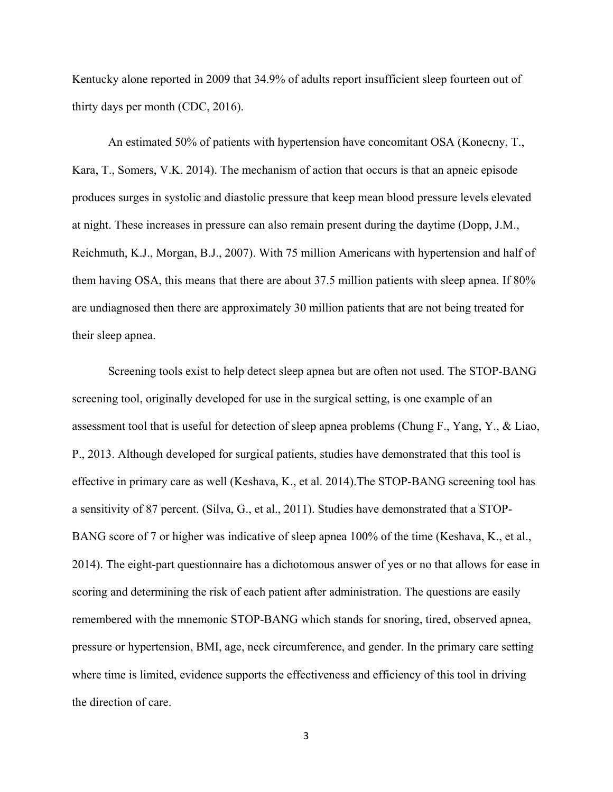Kentucky alone reported in 2009 that 34.9% of adults report insufficient sleep fourteen out of thirty days per month (CDC, 2016).

An estimated 50% of patients with hypertension have concomitant OSA (Konecny, T., Kara, T., Somers, V.K. 2014). The mechanism of action that occurs is that an apneic episode produces surges in systolic and diastolic pressure that keep mean blood pressure levels elevated at night. These increases in pressure can also remain present during the daytime (Dopp, J.M., Reichmuth, K.J., Morgan, B.J., 2007). With 75 million Americans with hypertension and half of them having OSA, this means that there are about 37.5 million patients with sleep apnea. If 80% are undiagnosed then there are approximately 30 million patients that are not being treated for their sleep apnea.

Screening tools exist to help detect sleep apnea but are often not used. The STOP-BANG screening tool, originally developed for use in the surgical setting, is one example of an assessment tool that is useful for detection of sleep apnea problems (Chung F., Yang, Y., & Liao, P., 2013. Although developed for surgical patients, studies have demonstrated that this tool is effective in primary care as well (Keshava, K., et al. 2014).The STOP-BANG screening tool has a sensitivity of 87 percent. (Silva, G., et al., 2011). Studies have demonstrated that a STOP-BANG score of 7 or higher was indicative of sleep apnea 100% of the time (Keshava, K., et al., 2014). The eight-part questionnaire has a dichotomous answer of yes or no that allows for ease in scoring and determining the risk of each patient after administration. The questions are easily remembered with the mnemonic STOP-BANG which stands for snoring, tired, observed apnea, pressure or hypertension, BMI, age, neck circumference, and gender. In the primary care setting where time is limited, evidence supports the effectiveness and efficiency of this tool in driving the direction of care.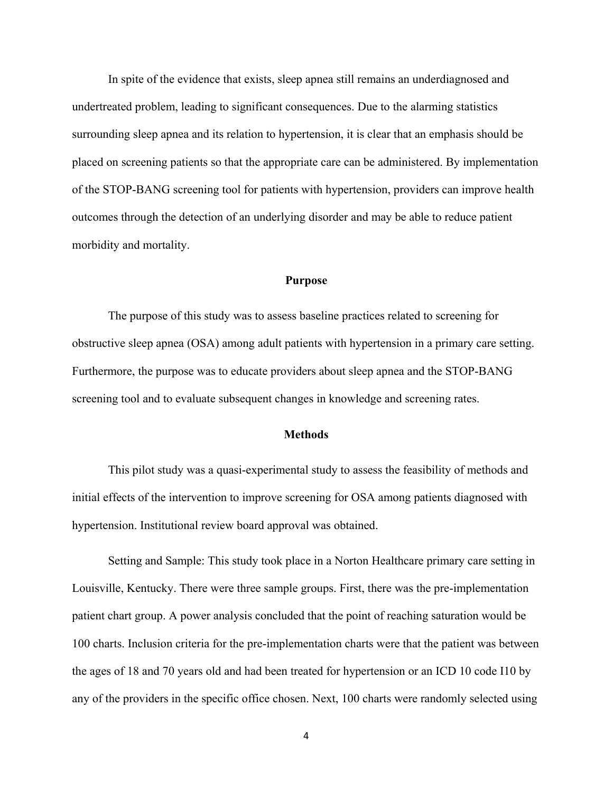In spite of the evidence that exists, sleep apnea still remains an underdiagnosed and undertreated problem, leading to significant consequences. Due to the alarming statistics surrounding sleep apnea and its relation to hypertension, it is clear that an emphasis should be placed on screening patients so that the appropriate care can be administered. By implementation of the STOP-BANG screening tool for patients with hypertension, providers can improve health outcomes through the detection of an underlying disorder and may be able to reduce patient morbidity and mortality.

#### **Purpose**

 The purpose of this study was to assess baseline practices related to screening for obstructive sleep apnea (OSA) among adult patients with hypertension in a primary care setting. Furthermore, the purpose was to educate providers about sleep apnea and the STOP-BANG screening tool and to evaluate subsequent changes in knowledge and screening rates.

# **Methods**

This pilot study was a quasi-experimental study to assess the feasibility of methods and initial effects of the intervention to improve screening for OSA among patients diagnosed with hypertension. Institutional review board approval was obtained.

Setting and Sample: This study took place in a Norton Healthcare primary care setting in Louisville, Kentucky. There were three sample groups. First, there was the pre-implementation patient chart group. A power analysis concluded that the point of reaching saturation would be 100 charts. Inclusion criteria for the pre-implementation charts were that the patient was between the ages of 18 and 70 years old and had been treated for hypertension or an ICD 10 code I10 by any of the providers in the specific office chosen. Next, 100 charts were randomly selected using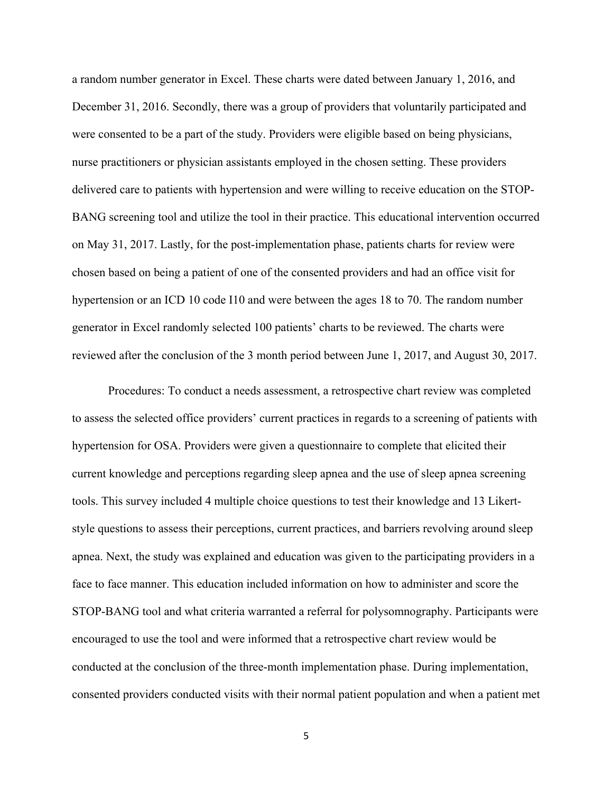a random number generator in Excel. These charts were dated between January 1, 2016, and December 31, 2016. Secondly, there was a group of providers that voluntarily participated and were consented to be a part of the study. Providers were eligible based on being physicians, nurse practitioners or physician assistants employed in the chosen setting. These providers delivered care to patients with hypertension and were willing to receive education on the STOP-BANG screening tool and utilize the tool in their practice. This educational intervention occurred on May 31, 2017. Lastly, for the post-implementation phase, patients charts for review were chosen based on being a patient of one of the consented providers and had an office visit for hypertension or an ICD 10 code I10 and were between the ages 18 to 70. The random number generator in Excel randomly selected 100 patients' charts to be reviewed. The charts were reviewed after the conclusion of the 3 month period between June 1, 2017, and August 30, 2017.

Procedures: To conduct a needs assessment, a retrospective chart review was completed to assess the selected office providers' current practices in regards to a screening of patients with hypertension for OSA. Providers were given a questionnaire to complete that elicited their current knowledge and perceptions regarding sleep apnea and the use of sleep apnea screening tools. This survey included 4 multiple choice questions to test their knowledge and 13 Likertstyle questions to assess their perceptions, current practices, and barriers revolving around sleep apnea. Next, the study was explained and education was given to the participating providers in a face to face manner. This education included information on how to administer and score the STOP-BANG tool and what criteria warranted a referral for polysomnography. Participants were encouraged to use the tool and were informed that a retrospective chart review would be conducted at the conclusion of the three-month implementation phase. During implementation, consented providers conducted visits with their normal patient population and when a patient met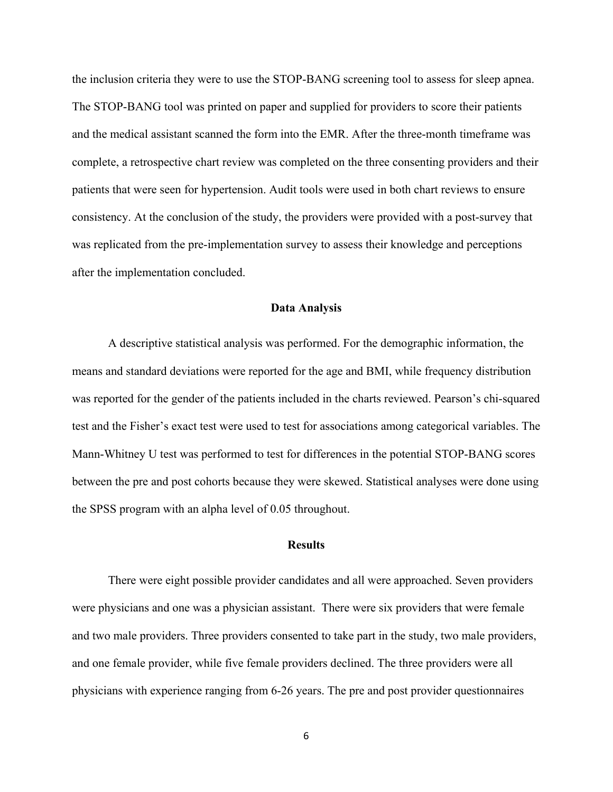the inclusion criteria they were to use the STOP-BANG screening tool to assess for sleep apnea. The STOP-BANG tool was printed on paper and supplied for providers to score their patients and the medical assistant scanned the form into the EMR. After the three-month timeframe was complete, a retrospective chart review was completed on the three consenting providers and their patients that were seen for hypertension. Audit tools were used in both chart reviews to ensure consistency. At the conclusion of the study, the providers were provided with a post-survey that was replicated from the pre-implementation survey to assess their knowledge and perceptions after the implementation concluded.

#### **Data Analysis**

A descriptive statistical analysis was performed. For the demographic information, the means and standard deviations were reported for the age and BMI, while frequency distribution was reported for the gender of the patients included in the charts reviewed. Pearson's chi-squared test and the Fisher's exact test were used to test for associations among categorical variables. The Mann-Whitney U test was performed to test for differences in the potential STOP-BANG scores between the pre and post cohorts because they were skewed. Statistical analyses were done using the SPSS program with an alpha level of 0.05 throughout.

# **Results**

There were eight possible provider candidates and all were approached. Seven providers were physicians and one was a physician assistant. There were six providers that were female and two male providers. Three providers consented to take part in the study, two male providers, and one female provider, while five female providers declined. The three providers were all physicians with experience ranging from 6-26 years. The pre and post provider questionnaires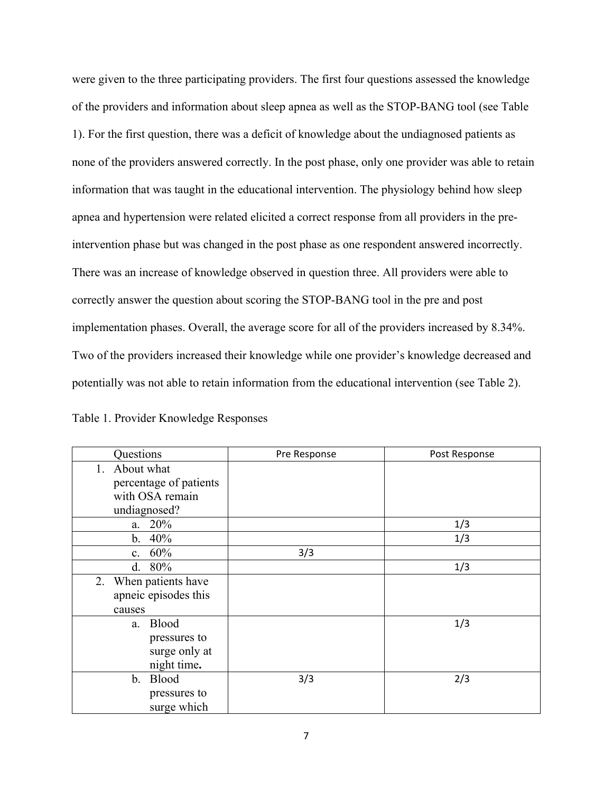were given to the three participating providers. The first four questions assessed the knowledge of the providers and information about sleep apnea as well as the STOP-BANG tool (see Table 1). For the first question, there was a deficit of knowledge about the undiagnosed patients as none of the providers answered correctly. In the post phase, only one provider was able to retain information that was taught in the educational intervention. The physiology behind how sleep apnea and hypertension were related elicited a correct response from all providers in the preintervention phase but was changed in the post phase as one respondent answered incorrectly. There was an increase of knowledge observed in question three. All providers were able to correctly answer the question about scoring the STOP-BANG tool in the pre and post implementation phases. Overall, the average score for all of the providers increased by 8.34%. Two of the providers increased their knowledge while one provider's knowledge decreased and potentially was not able to retain information from the educational intervention (see Table 2).

| Table 1. Provider Knowledge Responses |
|---------------------------------------|
|---------------------------------------|

| Questions              | Pre Response | Post Response |
|------------------------|--------------|---------------|
| About what<br>1.       |              |               |
| percentage of patients |              |               |
| with OSA remain        |              |               |
| undiagnosed?           |              |               |
| a. 20%                 |              | 1/3           |
| 40%<br>b.              |              | 1/3           |
| 60%<br>c.              | 3/3          |               |
| 80%<br>d.              |              | 1/3           |
| 2. When patients have  |              |               |
| apneic episodes this   |              |               |
| causes                 |              |               |
| <b>Blood</b><br>a.     |              | 1/3           |
| pressures to           |              |               |
| surge only at          |              |               |
| night time.            |              |               |
| <b>Blood</b><br>b.     | 3/3          | 2/3           |
| pressures to           |              |               |
| surge which            |              |               |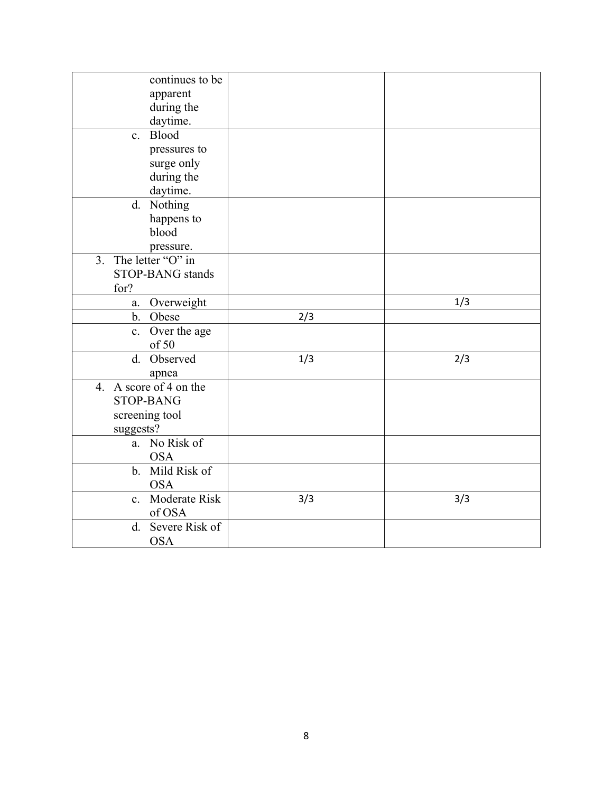| continues to be<br>apparent<br>during the<br>daytime. |     |     |
|-------------------------------------------------------|-----|-----|
| Blood<br>$c_{\cdot}$                                  |     |     |
| pressures to                                          |     |     |
| surge only                                            |     |     |
| during the                                            |     |     |
| daytime.                                              |     |     |
| d. Nothing                                            |     |     |
| happens to                                            |     |     |
| blood                                                 |     |     |
| pressure.                                             |     |     |
| $\overline{3}$ .<br>The letter "O" in                 |     |     |
| STOP-BANG stands                                      |     |     |
| for?                                                  |     |     |
| Overweight<br>a.                                      |     | 1/3 |
| b. Obese                                              | 2/3 |     |
| Over the age<br>c.                                    |     |     |
| of 50                                                 |     |     |
| d. Observed                                           | 1/3 | 2/3 |
| apnea                                                 |     |     |
| 4. A score of 4 on the                                |     |     |
| <b>STOP-BANG</b>                                      |     |     |
| screening tool                                        |     |     |
| suggests?                                             |     |     |
| No Risk of<br>a.                                      |     |     |
| <b>OSA</b>                                            |     |     |
| b. Mild Risk of                                       |     |     |
| <b>OSA</b>                                            |     |     |
| c. Moderate Risk                                      | 3/3 | 3/3 |
| of OSA                                                |     |     |
| d. Severe Risk of                                     |     |     |
| <b>OSA</b>                                            |     |     |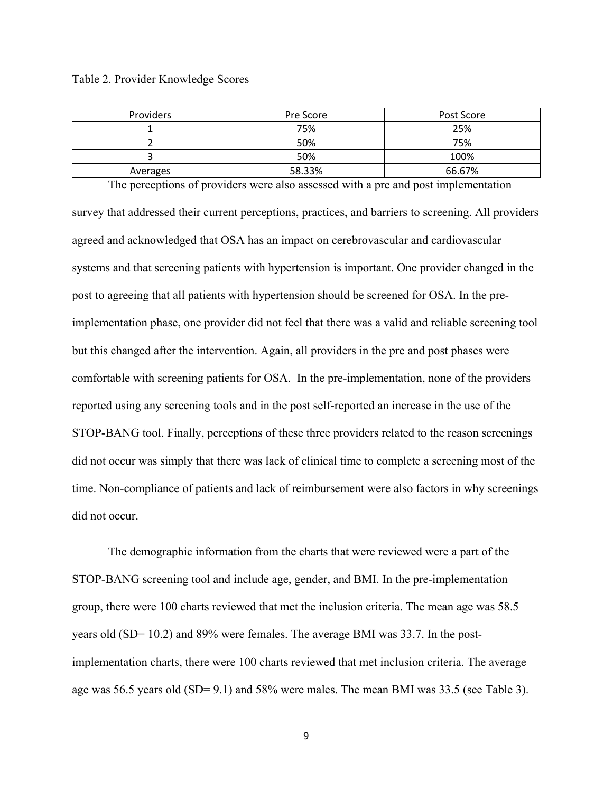| Providers | Pre Score | Post Score |
|-----------|-----------|------------|
|           | 75%       | 25%        |
|           | 50%       | 75%        |
|           | 50%       | 100%       |
| Averages  | 58.33%    | 66.67%     |

 The perceptions of providers were also assessed with a pre and post implementation survey that addressed their current perceptions, practices, and barriers to screening. All providers agreed and acknowledged that OSA has an impact on cerebrovascular and cardiovascular systems and that screening patients with hypertension is important. One provider changed in the post to agreeing that all patients with hypertension should be screened for OSA. In the preimplementation phase, one provider did not feel that there was a valid and reliable screening tool but this changed after the intervention. Again, all providers in the pre and post phases were comfortable with screening patients for OSA. In the pre-implementation, none of the providers reported using any screening tools and in the post self-reported an increase in the use of the STOP-BANG tool. Finally, perceptions of these three providers related to the reason screenings did not occur was simply that there was lack of clinical time to complete a screening most of the time. Non-compliance of patients and lack of reimbursement were also factors in why screenings did not occur.

 The demographic information from the charts that were reviewed were a part of the STOP-BANG screening tool and include age, gender, and BMI. In the pre-implementation group, there were 100 charts reviewed that met the inclusion criteria. The mean age was 58.5 years old (SD= 10.2) and 89% were females. The average BMI was 33.7. In the postimplementation charts, there were 100 charts reviewed that met inclusion criteria. The average age was 56.5 years old (SD= 9.1) and 58% were males. The mean BMI was 33.5 (see Table 3).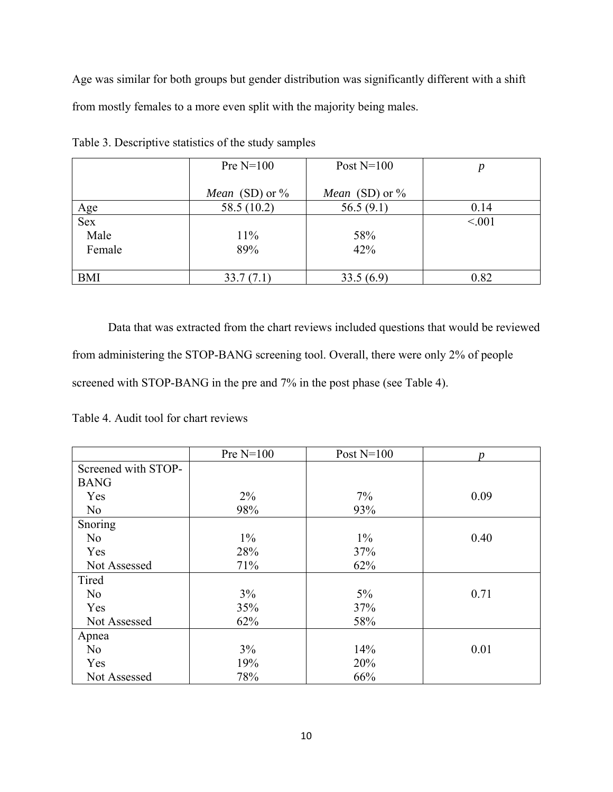Age was similar for both groups but gender distribution was significantly different with a shift from mostly females to a more even split with the majority being males.

|            | Pre $N=100$              | Post $N=100$             |        |
|------------|--------------------------|--------------------------|--------|
|            |                          |                          |        |
|            | <i>Mean</i> (SD) or $\%$ | <i>Mean</i> (SD) or $\%$ |        |
|            | 58.5 (10.2)              | 56.5(9.1)                | 0.14   |
| Age<br>Sex |                          |                          | < 0.01 |
| Male       | $11\%$                   | 58%                      |        |
| Female     | 89%                      | 42%                      |        |
|            |                          |                          |        |
| <b>BMI</b> | 33.7(7.1)                | 33.5(6.9)                | 0.82   |

Table 3. Descriptive statistics of the study samples

 Data that was extracted from the chart reviews included questions that would be reviewed from administering the STOP-BANG screening tool. Overall, there were only 2% of people screened with STOP-BANG in the pre and 7% in the post phase (see Table 4).

Table 4. Audit tool for chart reviews

|                     | Pre $N=100$ | Post $N=100$ | n    |
|---------------------|-------------|--------------|------|
| Screened with STOP- |             |              |      |
| <b>BANG</b>         |             |              |      |
| Yes                 | $2\%$       | $7\%$        | 0.09 |
| No                  | 98%         | 93%          |      |
| Snoring             |             |              |      |
| No                  | $1\%$       | $1\%$        | 0.40 |
| Yes                 | 28%         | 37%          |      |
| Not Assessed        | 71%         | 62%          |      |
| Tired               |             |              |      |
| N <sub>o</sub>      | 3%          | $5\%$        | 0.71 |
| Yes                 | 35%         | 37%          |      |
| Not Assessed        | 62%         | 58%          |      |
| Apnea               |             |              |      |
| N <sub>o</sub>      | $3\%$       | 14%          | 0.01 |
| Yes                 | 19%         | 20%          |      |
| Not Assessed        | 78%         | 66%          |      |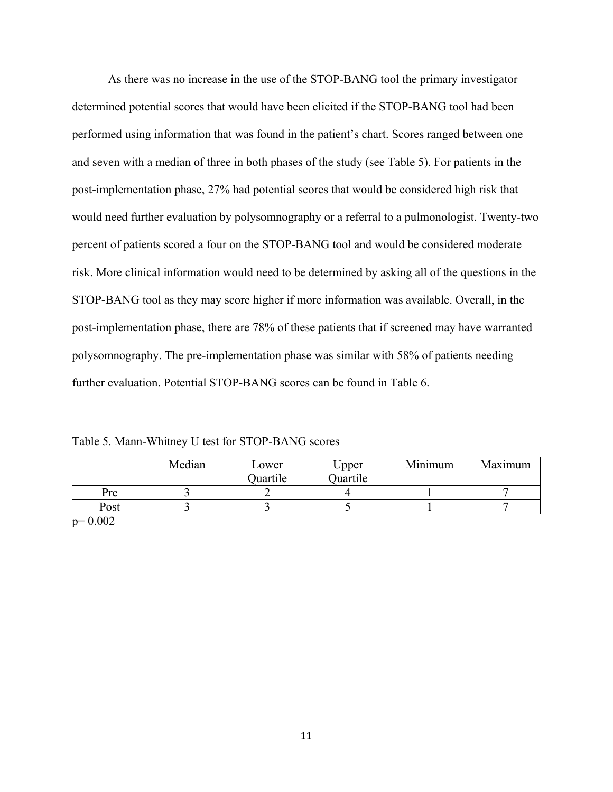As there was no increase in the use of the STOP-BANG tool the primary investigator determined potential scores that would have been elicited if the STOP-BANG tool had been performed using information that was found in the patient's chart. Scores ranged between one and seven with a median of three in both phases of the study (see Table 5). For patients in the post-implementation phase, 27% had potential scores that would be considered high risk that would need further evaluation by polysomnography or a referral to a pulmonologist. Twenty-two percent of patients scored a four on the STOP-BANG tool and would be considered moderate risk. More clinical information would need to be determined by asking all of the questions in the STOP-BANG tool as they may score higher if more information was available. Overall, in the post-implementation phase, there are 78% of these patients that if screened may have warranted polysomnography. The pre-implementation phase was similar with 58% of patients needing further evaluation. Potential STOP-BANG scores can be found in Table 6.

Table 5. Mann-Whitney U test for STOP-BANG scores

|       | Median | Lower<br>Quartile | Upper<br>Quartile | Minimum | Maximum |
|-------|--------|-------------------|-------------------|---------|---------|
| Pre   |        |                   |                   |         |         |
| Post  |        |                   |                   |         |         |
| 0.002 |        |                   |                   |         |         |

p= 0.002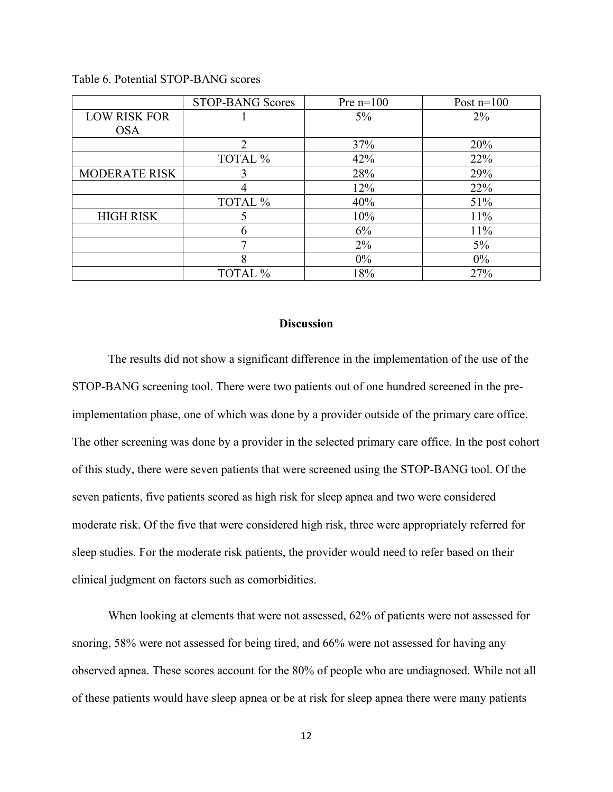|                      | <b>STOP-BANG Scores</b> | Pre $n=100$ | Post $n=100$ |
|----------------------|-------------------------|-------------|--------------|
| <b>LOW RISK FOR</b>  |                         | $5\%$       | $2\%$        |
| <b>OSA</b>           |                         |             |              |
|                      | $\mathcal{D}$           | 37%         | 20%          |
|                      | TOTAL %                 | 42%         | 22%          |
| <b>MODERATE RISK</b> |                         | 28%         | 29%          |
|                      |                         | 12%         | 22%          |
|                      | TOTAL %                 | 40%         | 51%          |
| <b>HIGH RISK</b>     |                         | 10%         | 11%          |
|                      | h                       | 6%          | 11%          |
|                      | ┑                       | $2\%$       | $5\%$        |
|                      | 8                       | $0\%$       | $0\%$        |
|                      | TOTAL %                 | 18%         | 27%          |

Table 6. Potential STOP-BANG scores

## **Discussion**

The results did not show a significant difference in the implementation of the use of the STOP-BANG screening tool. There were two patients out of one hundred screened in the preimplementation phase, one of which was done by a provider outside of the primary care office. The other screening was done by a provider in the selected primary care office. In the post cohort of this study, there were seven patients that were screened using the STOP-BANG tool. Of the seven patients, five patients scored as high risk for sleep apnea and two were considered moderate risk. Of the five that were considered high risk, three were appropriately referred for sleep studies. For the moderate risk patients, the provider would need to refer based on their clinical judgment on factors such as comorbidities.

When looking at elements that were not assessed, 62% of patients were not assessed for snoring, 58% were not assessed for being tired, and 66% were not assessed for having any observed apnea. These scores account for the 80% of people who are undiagnosed. While not all of these patients would have sleep apnea or be at risk for sleep apnea there were many patients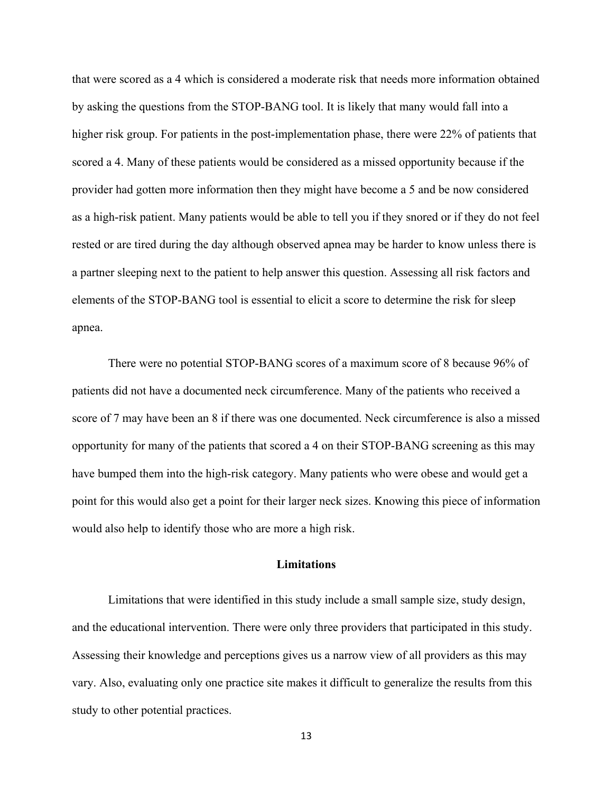that were scored as a 4 which is considered a moderate risk that needs more information obtained by asking the questions from the STOP-BANG tool. It is likely that many would fall into a higher risk group. For patients in the post-implementation phase, there were 22% of patients that scored a 4. Many of these patients would be considered as a missed opportunity because if the provider had gotten more information then they might have become a 5 and be now considered as a high-risk patient. Many patients would be able to tell you if they snored or if they do not feel rested or are tired during the day although observed apnea may be harder to know unless there is a partner sleeping next to the patient to help answer this question. Assessing all risk factors and elements of the STOP-BANG tool is essential to elicit a score to determine the risk for sleep apnea.

There were no potential STOP-BANG scores of a maximum score of 8 because 96% of patients did not have a documented neck circumference. Many of the patients who received a score of 7 may have been an 8 if there was one documented. Neck circumference is also a missed opportunity for many of the patients that scored a 4 on their STOP-BANG screening as this may have bumped them into the high-risk category. Many patients who were obese and would get a point for this would also get a point for their larger neck sizes. Knowing this piece of information would also help to identify those who are more a high risk.

#### **Limitations**

Limitations that were identified in this study include a small sample size, study design, and the educational intervention. There were only three providers that participated in this study. Assessing their knowledge and perceptions gives us a narrow view of all providers as this may vary. Also, evaluating only one practice site makes it difficult to generalize the results from this study to other potential practices.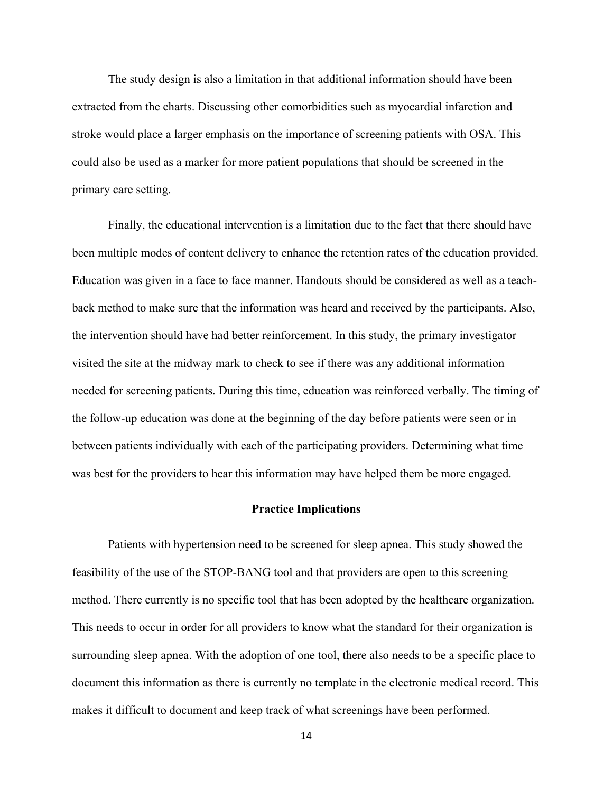The study design is also a limitation in that additional information should have been extracted from the charts. Discussing other comorbidities such as myocardial infarction and stroke would place a larger emphasis on the importance of screening patients with OSA. This could also be used as a marker for more patient populations that should be screened in the primary care setting.

 Finally, the educational intervention is a limitation due to the fact that there should have been multiple modes of content delivery to enhance the retention rates of the education provided. Education was given in a face to face manner. Handouts should be considered as well as a teachback method to make sure that the information was heard and received by the participants. Also, the intervention should have had better reinforcement. In this study, the primary investigator visited the site at the midway mark to check to see if there was any additional information needed for screening patients. During this time, education was reinforced verbally. The timing of the follow-up education was done at the beginning of the day before patients were seen or in between patients individually with each of the participating providers. Determining what time was best for the providers to hear this information may have helped them be more engaged.

#### **Practice Implications**

Patients with hypertension need to be screened for sleep apnea. This study showed the feasibility of the use of the STOP-BANG tool and that providers are open to this screening method. There currently is no specific tool that has been adopted by the healthcare organization. This needs to occur in order for all providers to know what the standard for their organization is surrounding sleep apnea. With the adoption of one tool, there also needs to be a specific place to document this information as there is currently no template in the electronic medical record. This makes it difficult to document and keep track of what screenings have been performed.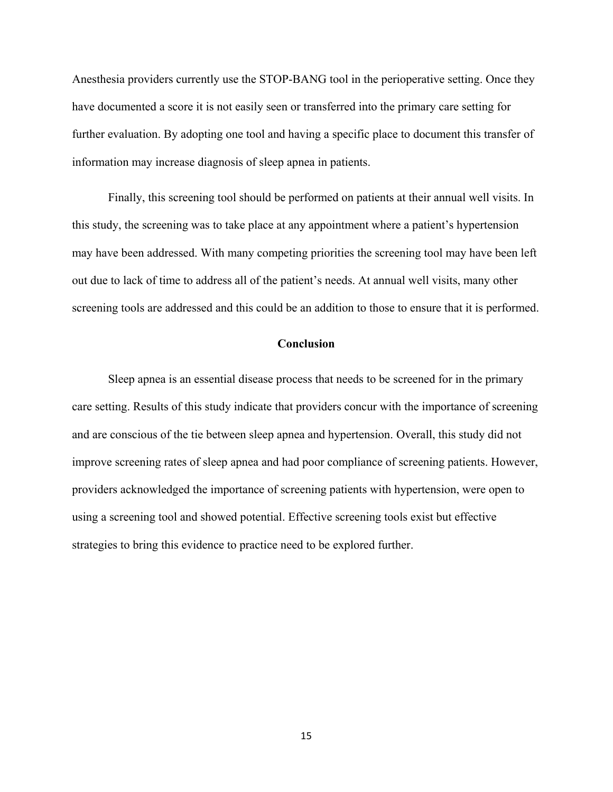Anesthesia providers currently use the STOP-BANG tool in the perioperative setting. Once they have documented a score it is not easily seen or transferred into the primary care setting for further evaluation. By adopting one tool and having a specific place to document this transfer of information may increase diagnosis of sleep apnea in patients.

Finally, this screening tool should be performed on patients at their annual well visits. In this study, the screening was to take place at any appointment where a patient's hypertension may have been addressed. With many competing priorities the screening tool may have been left out due to lack of time to address all of the patient's needs. At annual well visits, many other screening tools are addressed and this could be an addition to those to ensure that it is performed.

## **Conclusion**

Sleep apnea is an essential disease process that needs to be screened for in the primary care setting. Results of this study indicate that providers concur with the importance of screening and are conscious of the tie between sleep apnea and hypertension. Overall, this study did not improve screening rates of sleep apnea and had poor compliance of screening patients. However, providers acknowledged the importance of screening patients with hypertension, were open to using a screening tool and showed potential. Effective screening tools exist but effective strategies to bring this evidence to practice need to be explored further.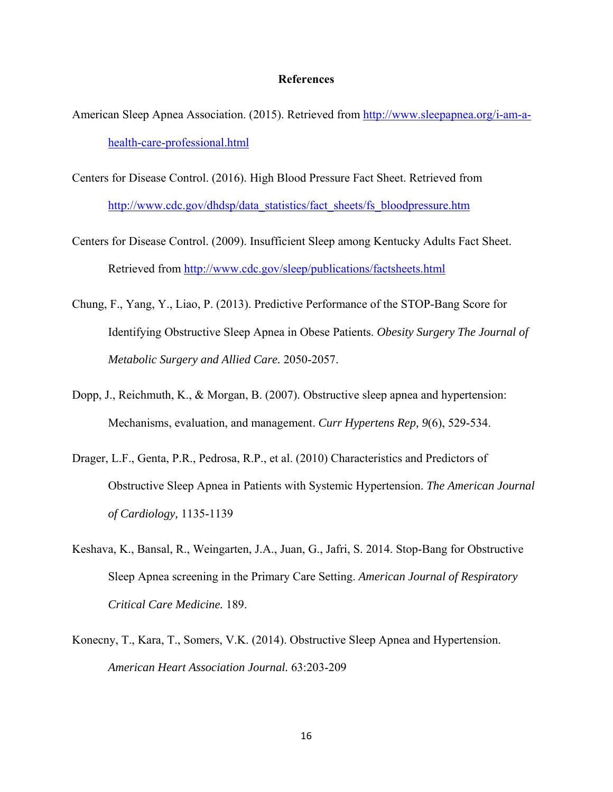#### **References**

- American Sleep Apnea Association. (2015). Retrieved from http://www.sleepapnea.org/i-am-ahealth-care-professional.html
- Centers for Disease Control. (2016). High Blood Pressure Fact Sheet. Retrieved from http://www.cdc.gov/dhdsp/data\_statistics/fact\_sheets/fs\_bloodpressure.htm
- Centers for Disease Control. (2009). Insufficient Sleep among Kentucky Adults Fact Sheet. Retrieved from http://www.cdc.gov/sleep/publications/factsheets.html
- Chung, F., Yang, Y., Liao, P. (2013). Predictive Performance of the STOP-Bang Score for Identifying Obstructive Sleep Apnea in Obese Patients. *Obesity Surgery The Journal of Metabolic Surgery and Allied Care.* 2050-2057.
- Dopp, J., Reichmuth, K., & Morgan, B. (2007). Obstructive sleep apnea and hypertension: Mechanisms, evaluation, and management. *Curr Hypertens Rep, 9*(6), 529-534.
- Drager, L.F., Genta, P.R., Pedrosa, R.P., et al. (2010) Characteristics and Predictors of Obstructive Sleep Apnea in Patients with Systemic Hypertension. *The American Journal of Cardiology,* 1135-1139
- Keshava, K., Bansal, R., Weingarten, J.A., Juan, G., Jafri, S. 2014. Stop-Bang for Obstructive Sleep Apnea screening in the Primary Care Setting. *American Journal of Respiratory Critical Care Medicine.* 189.
- Konecny, T., Kara, T., Somers, V.K. (2014). Obstructive Sleep Apnea and Hypertension. *American Heart Association Journal.* 63:203-209